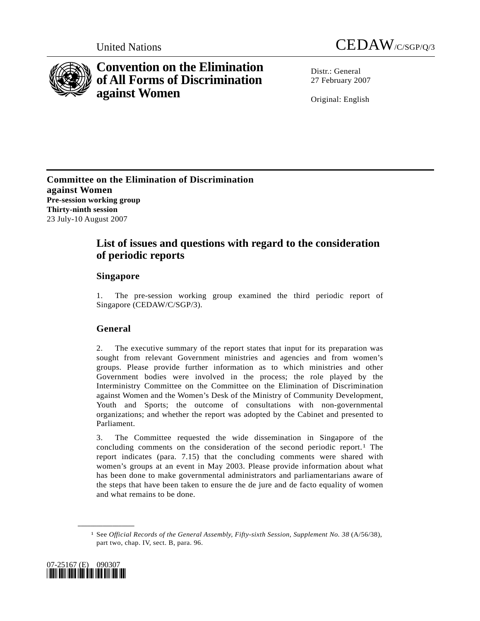



# **Convention on the Elimination of All Forms of Discrimination against Women**

Distr · General 27 February 2007

Original: English

**Committee on the Elimination of Discrimination against Women Pre-session working group Thirty-ninth session**  23 July-10 August 2007

## **List of issues and questions with regard to the consideration of periodic reports**

### **Singapore**

1. The pre-session working group examined the third periodic report of Singapore (CEDAW/C/SGP/3).

## **General**

2. The executive summary of the report states that input for its preparation was sought from relevant Government ministries and agencies and from women's groups. Please provide further information as to which ministries and other Government bodies were involved in the process; the role played by the Interministry Committee on the Committee on the Elimination of Discrimination against Women and the Women's Desk of the Ministry of Community Development, Youth and Sports; the outcome of consultations with non-governmental organizations; and whether the report was adopted by the Cabinet and presented to Parliament.

3. The Committee requested the wide dissemination in Singapore of the concluding comments on the consideration of the second periodic report.<sup>1</sup> The report indicates (para. 7.15) that the concluding comments were shared with women's groups at an event in May 2003. Please provide information about what has been done to make governmental administrators and parliamentarians aware of the steps that have been taken to ensure the de jure and de facto equality of women and what remains to be done.

<span id="page-0-0"></span><sup>1</sup> See *Official Records of the General Assembly, Fifty-sixth Session, Supplement No. 38* (A/56/38), part two, chap. IV, sect. B, para. 96.

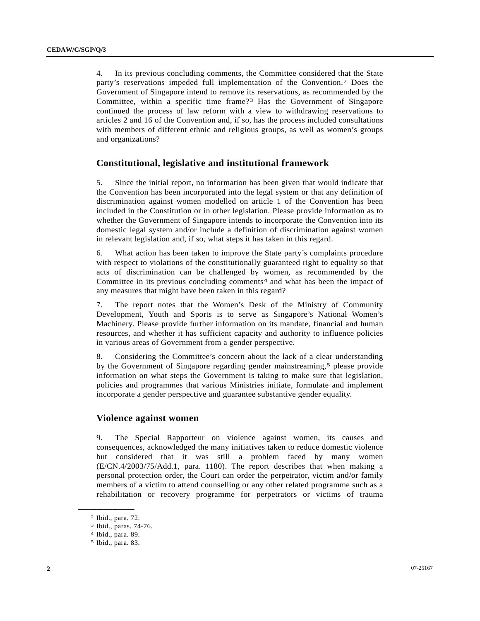4. In its previous concluding comments, the Committee considered that the State party's reservations impeded full implementation of the Convention.[2](#page-1-0) Does the Government of Singapore intend to remove its reservations, as recommended by the Committee, within a specific time frame?[3](#page-1-1) Has the Government of Singapore continued the process of law reform with a view to withdrawing reservations to articles 2 and 16 of the Convention and, if so, has the process included consultations with members of different ethnic and religious groups, as well as women's groups and organizations?

#### **Constitutional, legislative and institutional framework**

5. Since the initial report, no information has been given that would indicate that the Convention has been incorporated into the legal system or that any definition of discrimination against women modelled on article 1 of the Convention has been included in the Constitution or in other legislation. Please provide information as to whether the Government of Singapore intends to incorporate the Convention into its domestic legal system and/or include a definition of discrimination against women in relevant legislation and, if so, what steps it has taken in this regard.

6. What action has been taken to improve the State party's complaints procedure with respect to violations of the constitutionally guaranteed right to equality so that acts of discrimination can be challenged by women, as recommended by the Committee in its previous concluding comments[4](#page-1-2) and what has been the impact of any measures that might have been taken in this regard?

7. The report notes that the Women's Desk of the Ministry of Community Development, Youth and Sports is to serve as Singapore's National Women's Machinery. Please provide further information on its mandate, financial and human resources, and whether it has sufficient capacity and authority to influence policies in various areas of Government from a gender perspective.

8. Considering the Committee's concern about the lack of a clear understanding by the Government of Singapore regarding gender mainstreaming,<sup>[5](#page-1-3)</sup> please provide information on what steps the Government is taking to make sure that legislation, policies and programmes that various Ministries initiate, formulate and implement incorporate a gender perspective and guarantee substantive gender equality.

#### **Violence against women**

9. The Special Rapporteur on violence against women, its causes and consequences, acknowledged the many initiatives taken to reduce domestic violence but considered that it was still a problem faced by many women (E/CN.4/2003/75/Add.1, para. 1180). The report describes that when making a personal protection order, the Court can order the perpetrator, victim and/or family members of a victim to attend counselling or any other related programme such as a rehabilitation or recovery programme for perpetrators or victims of trauma

<span id="page-1-0"></span><sup>2</sup> Ibid., para. 72.

<sup>3</sup> Ibid., paras. 74-76.

<span id="page-1-3"></span><span id="page-1-2"></span><span id="page-1-1"></span><sup>4</sup> Ibid., para. 89.

<sup>5</sup> Ibid., para. 83.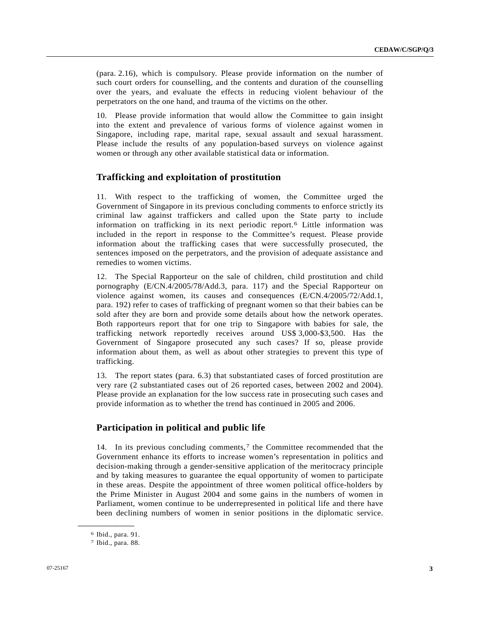(para. 2.16), which is compulsory. Please provide information on the number of such court orders for counselling, and the contents and duration of the counselling over the years, and evaluate the effects in reducing violent behaviour of the perpetrators on the one hand, and trauma of the victims on the other.

10. Please provide information that would allow the Committee to gain insight into the extent and prevalence of various forms of violence against women in Singapore, including rape, marital rape, sexual assault and sexual harassment. Please include the results of any population-based surveys on violence against women or through any other available statistical data or information.

#### **Trafficking and exploitation of prostitution**

11. With respect to the trafficking of women, the Committee urged the Government of Singapore in its previous concluding comments to enforce strictly its criminal law against traffickers and called upon the State party to include information on trafficking in its next periodic report.[6](#page-2-0) Little information was included in the report in response to the Committee's request. Please provide information about the trafficking cases that were successfully prosecuted, the sentences imposed on the perpetrators, and the provision of adequate assistance and remedies to women victims.

12. The Special Rapporteur on the sale of children, child prostitution and child pornography (E/CN.4/2005/78/Add.3, para. 117) and the Special Rapporteur on violence against women, its causes and consequences (E/CN.4/2005/72/Add.1, para. 192) refer to cases of trafficking of pregnant women so that their babies can be sold after they are born and provide some details about how the network operates. Both rapporteurs report that for one trip to Singapore with babies for sale, the trafficking network reportedly receives around US\$ 3,000-\$3,500. Has the Government of Singapore prosecuted any such cases? If so, please provide information about them, as well as about other strategies to prevent this type of trafficking.

13. The report states (para. 6.3) that substantiated cases of forced prostitution are very rare (2 substantiated cases out of 26 reported cases, between 2002 and 2004). Please provide an explanation for the low success rate in prosecuting such cases and provide information as to whether the trend has continued in 2005 and 2006.

#### **Participation in political and public life**

14. In its previous concluding comments,[7](#page-2-1) the Committee recommended that the Government enhance its efforts to increase women's representation in politics and decision-making through a gender-sensitive application of the meritocracy principle and by taking measures to guarantee the equal opportunity of women to participate in these areas. Despite the appointment of three women political office-holders by the Prime Minister in August 2004 and some gains in the numbers of women in Parliament, women continue to be underrepresented in political life and there have been declining numbers of women in senior positions in the diplomatic service.

<sup>6</sup> Ibid., para. 91.

<span id="page-2-1"></span><span id="page-2-0"></span><sup>7</sup> Ibid., para. 88.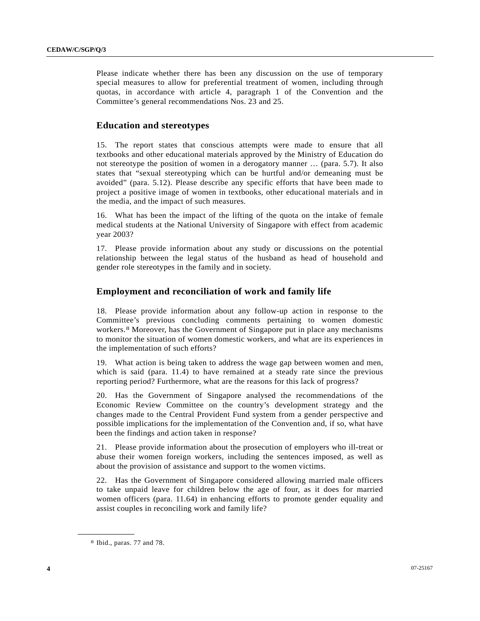Please indicate whether there has been any discussion on the use of temporary special measures to allow for preferential treatment of women, including through quotas, in accordance with article 4, paragraph 1 of the Convention and the Committee's general recommendations Nos. 23 and 25.

#### **Education and stereotypes**

15. The report states that conscious attempts were made to ensure that all textbooks and other educational materials approved by the Ministry of Education do not stereotype the position of women in a derogatory manner … (para. 5.7). It also states that "sexual stereotyping which can be hurtful and/or demeaning must be avoided" (para. 5.12). Please describe any specific efforts that have been made to project a positive image of women in textbooks, other educational materials and in the media, and the impact of such measures.

16. What has been the impact of the lifting of the quota on the intake of female medical students at the National University of Singapore with effect from academic year 2003?

17. Please provide information about any study or discussions on the potential relationship between the legal status of the husband as head of household and gender role stereotypes in the family and in society.

#### **Employment and reconciliation of work and family life**

18. Please provide information about any follow-up action in response to the Committee's previous concluding comments pertaining to women domestic workers.[8](#page-3-0) Moreover, has the Government of Singapore put in place any mechanisms to monitor the situation of women domestic workers, and what are its experiences in the implementation of such efforts?

19. What action is being taken to address the wage gap between women and men, which is said (para. 11.4) to have remained at a steady rate since the previous reporting period? Furthermore, what are the reasons for this lack of progress?

20. Has the Government of Singapore analysed the recommendations of the Economic Review Committee on the country's development strategy and the changes made to the Central Provident Fund system from a gender perspective and possible implications for the implementation of the Convention and, if so, what have been the findings and action taken in response?

21. Please provide information about the prosecution of employers who ill-treat or abuse their women foreign workers, including the sentences imposed, as well as about the provision of assistance and support to the women victims.

22. Has the Government of Singapore considered allowing married male officers to take unpaid leave for children below the age of four, as it does for married women officers (para. 11.64) in enhancing efforts to promote gender equality and assist couples in reconciling work and family life?

<span id="page-3-0"></span><sup>8</sup> Ibid., paras. 77 and 78.